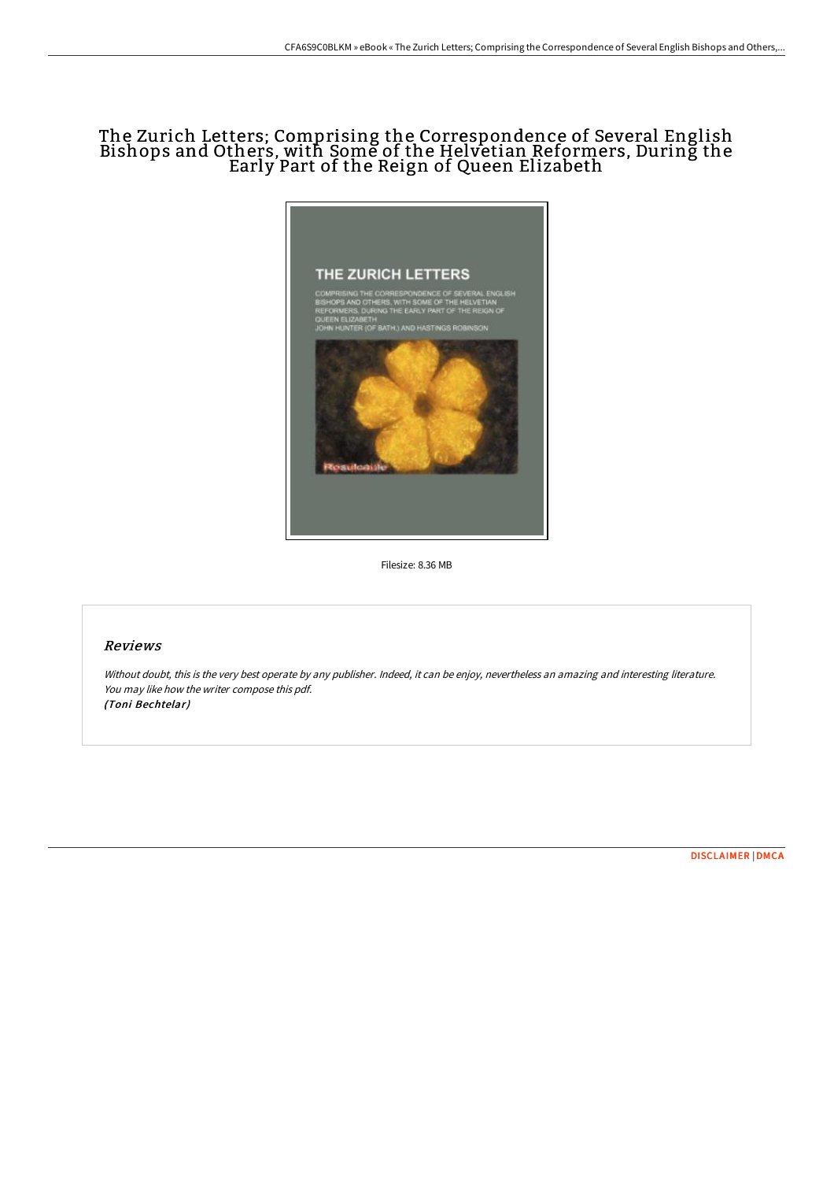## The Zurich Letters; Comprising the Correspondence of Several English Bishops and Others, with Some of the Helvetian Reformers, During the Early Part of the Reign of Queen Elizabeth



Filesize: 8.36 MB

## Reviews

Without doubt, this is the very best operate by any publisher. Indeed, it can be enjoy, nevertheless an amazing and interesting literature. You may like how the writer compose this pdf. (Toni Bechtelar)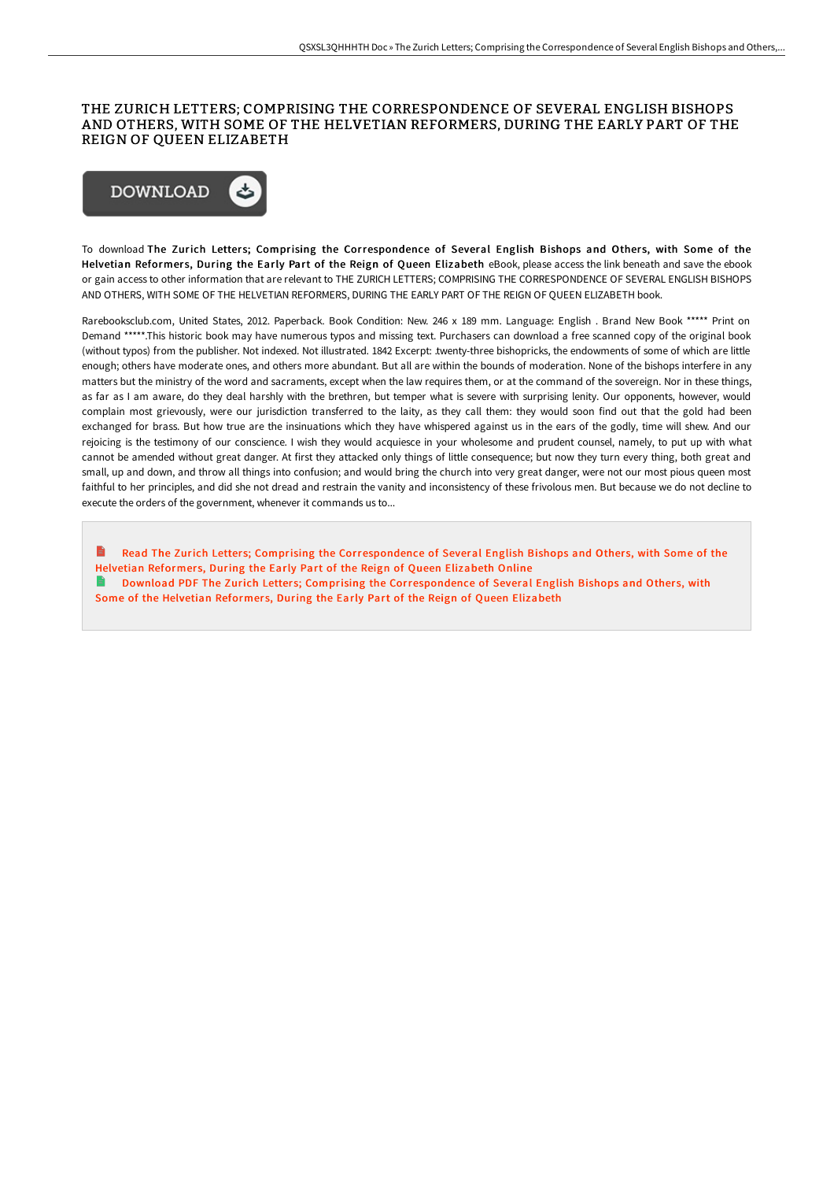## THE ZURICH LETTERS; COMPRISING THE CORRESPONDENCE OF SEVERAL ENGLISH BISHOPS AND OTHERS, WITH SOME OF THE HELVETIAN REFORMERS, DURING THE EARLY PART OF THE REIGN OF QUEEN ELIZABETH



To download The Zurich Letters; Comprising the Correspondence of Several English Bishops and Others, with Some of the Helvetian Reformers, During the Early Part of the Reign of Queen Elizabeth eBook, please access the link beneath and save the ebook or gain access to other information that are relevant to THE ZURICH LETTERS; COMPRISING THE CORRESPONDENCE OF SEVERAL ENGLISH BISHOPS AND OTHERS, WITH SOME OF THE HELVETIAN REFORMERS, DURING THE EARLY PART OF THE REIGN OF QUEEN ELIZABETH book.

Rarebooksclub.com, United States, 2012. Paperback. Book Condition: New. 246 x 189 mm. Language: English . Brand New Book \*\*\*\*\* Print on Demand \*\*\*\*\*.This historic book may have numerous typos and missing text. Purchasers can download a free scanned copy of the original book (without typos) from the publisher. Not indexed. Not illustrated. 1842 Excerpt: .twenty-three bishopricks, the endowments of some of which are little enough; others have moderate ones, and others more abundant. But all are within the bounds of moderation. None of the bishops interfere in any matters but the ministry of the word and sacraments, except when the law requires them, or at the command of the sovereign. Nor in these things, as far as I am aware, do they deal harshly with the brethren, but temper what is severe with surprising lenity. Our opponents, however, would complain most grievously, were our jurisdiction transferred to the laity, as they call them: they would soon find out that the gold had been exchanged for brass. But how true are the insinuations which they have whispered against us in the ears of the godly, time will shew. And our rejoicing is the testimony of our conscience. I wish they would acquiesce in your wholesome and prudent counsel, namely, to put up with what cannot be amended without great danger. At first they attacked only things of little consequence; but now they turn every thing, both great and small, up and down, and throw all things into confusion; and would bring the church into very great danger, were not our most pious queen most faithful to her principles, and did she not dread and restrain the vanity and inconsistency of these frivolous men. But because we do not decline to execute the orders of the government, whenever it commands us to...

B Read The Zurich Letters; Comprising the [Correspondence](http://techno-pub.tech/the-zurich-letters-comprising-the-correspondence.html) of Several English Bishops and Others, with Some of the Helvetian Reformers, During the Early Part of the Reign of Queen Elizabeth Online Download PDF The Zurich Letters; Comprising the [Correspondence](http://techno-pub.tech/the-zurich-letters-comprising-the-correspondence.html) of Several English Bishops and Others, with Some of the Helvetian Reformers, During the Early Part of the Reign of Queen Elizabeth